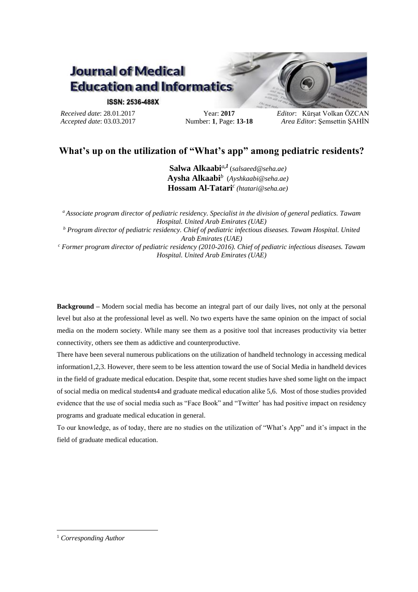# **Journal of Medical Education and Informatics**

#### **ISSN: 2536-488X**

*Received date*: 28.01.2017 *Accepted date*: 03.03.2017

Year: **2017** Number: **1**, Page: **13-18** *Editor*: Kürşat Volkan ÖZCAN *Area Editor*: Şemsettin ŞAHİN

## **What's up on the utilization of "What's app" among pediatric residents?**

**Salwa Alkaabi***<sup>a</sup>***,***<sup>1</sup>* (*salsaeed@seha.ae)* **Aysha Alkaabi***<sup>b</sup>* (*Ayshkaabi@seha.ae)* **Hossam Al-Tatari***<sup>c</sup> (htatari@seha.ae)*

*<sup>a</sup>Associate program director of pediatric residency. Specialist in the division of general pediatics. Tawam Hospital. United Arab Emirates (UAE) <sup>b</sup> Program director of pediatric residency. Chief of pediatric infectious diseases. Tawam Hospital. United Arab Emirates (UAE) <sup>c</sup> Former program director of pediatric residency (2010-2016). Chief of pediatric infectious diseases. Tawam Hospital. United Arab Emirates (UAE)*

**Background –** Modern social media has become an integral part of our daily lives, not only at the personal level but also at the professional level as well. No two experts have the same opinion on the impact of social media on the modern society. While many see them as a positive tool that increases productivity via better connectivity, others see them as addictive and counterproductive.

There have been several numerous publications on the utilization of handheld technology in accessing medical information1,2,3. However, there seem to be less attention toward the use of Social Media in handheld devices in the field of graduate medical education. Despite that, some recent studies have shed some light on the impact of social media on medical students4 and graduate medical education alike 5,6. Most of those studies provided evidence that the use of social media such as "Face Book" and "Twitter' has had positive impact on residency programs and graduate medical education in general.

To our knowledge, as of today, there are no studies on the utilization of "What's App" and it's impact in the field of graduate medical education.

1

<sup>1</sup> *Corresponding Author*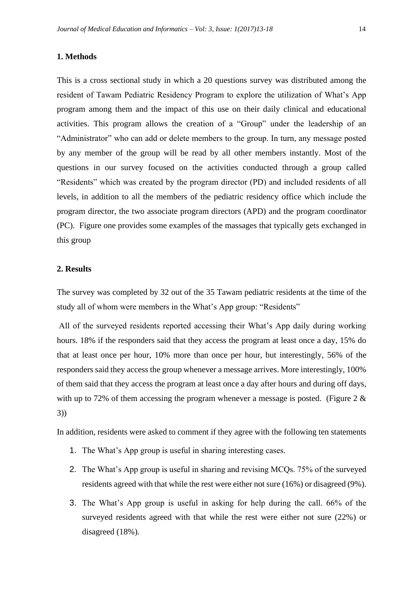#### **1. Methods**

This is a cross sectional study in which a 20 questions survey was distributed among the resident of Tawam Pediatric Residency Program to explore the utilization of What's App program among them and the impact of this use on their daily clinical and educational activities. This program allows the creation of a "Group" under the leadership of an "Administrator" who can add or delete members to the group. In turn, any message posted by any member of the group will be read by all other members instantly. Most of the questions in our survey focused on the activities conducted through a group called "Residents" which was created by the program director (PD) and included residents of all levels, in addition to all the members of the pediatric residency office which include the program director, the two associate program directors (APD) and the program coordinator (PC). Figure one provides some examples of the massages that typically gets exchanged in this group

#### **2. Results**

The survey was completed by 32 out of the 35 Tawam pediatric residents at the time of the study all of whom were members in the What's App group: "Residents"

All of the surveyed residents reported accessing their What's App daily during working hours. 18% if the responders said that they access the program at least once a day, 15% do that at least once per hour, 10% more than once per hour, but interestingly, 56% of the responders said they access the group whenever a message arrives. More interestingly, 100% of them said that they access the program at least once a day after hours and during off days, with up to 72% of them accessing the program whenever a message is posted. (Figure 2  $\&$ 3))

In addition, residents were asked to comment if they agree with the following ten statements

- 1. The What's App group is useful in sharing interesting cases.
- 2. The What's App group is useful in sharing and revising MCQs. 75% of the surveyed residents agreed with that while the rest were either not sure (16%) or disagreed (9%).
- 3. The What's App group is useful in asking for help during the call. 66% of the surveyed residents agreed with that while the rest were either not sure (22%) or disagreed (18%).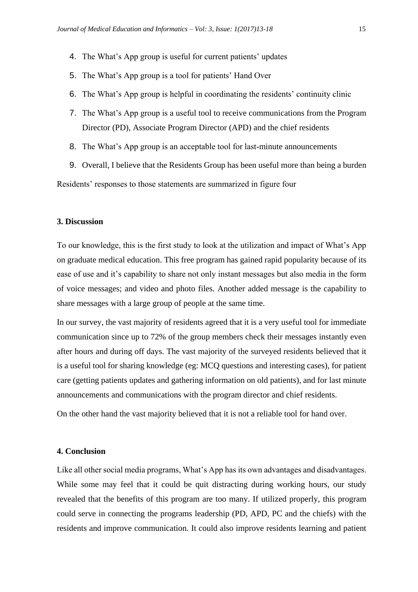- 4. The What's App group is useful for current patients' updates
- 5. The What's App group is a tool for patients' Hand Over
- 6. The What's App group is helpful in coordinating the residents' continuity clinic
- 7. The What's App group is a useful tool to receive communications from the Program Director (PD), Associate Program Director (APD) and the chief residents
- 8. The What's App group is an acceptable tool for last-minute announcements
- 9. Overall, I believe that the Residents Group has been useful more than being a burden

Residents' responses to those statements are summarized in figure four

### **3. Discussion**

To our knowledge, this is the first study to look at the utilization and impact of What's App on graduate medical education. This free program has gained rapid popularity because of its ease of use and it's capability to share not only instant messages but also media in the form of voice messages; and video and photo files. Another added message is the capability to share messages with a large group of people at the same time.

In our survey, the vast majority of residents agreed that it is a very useful tool for immediate communication since up to 72% of the group members check their messages instantly even after hours and during off days. The vast majority of the surveyed residents believed that it is a useful tool for sharing knowledge (eg: MCQ questions and interesting cases), for patient care (getting patients updates and gathering information on old patients), and for last minute announcements and communications with the program director and chief residents.

On the other hand the vast majority believed that it is not a reliable tool for hand over.

#### **4. Conclusion**

Like all other social media programs, What's App has its own advantages and disadvantages. While some may feel that it could be quit distracting during working hours, our study revealed that the benefits of this program are too many. If utilized properly, this program could serve in connecting the programs leadership (PD, APD, PC and the chiefs) with the residents and improve communication. It could also improve residents learning and patient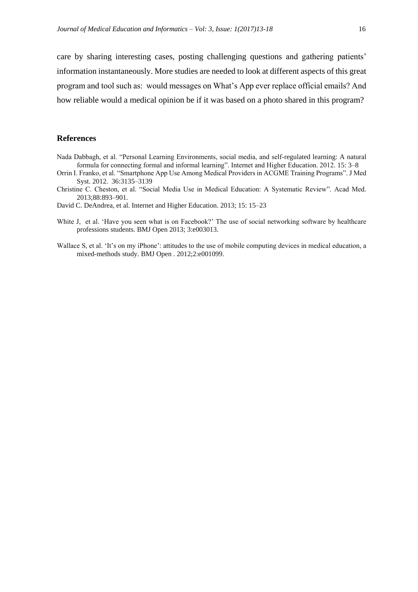care by sharing interesting cases, posting challenging questions and gathering patients' information instantaneously. More studies are needed to look at different aspects of this great program and tool such as: would messages on What's App ever replace official emails? And how reliable would a medical opinion be if it was based on a photo shared in this program?

#### **References**

- Nada Dabbagh, et al. "Personal Learning Environments, social media, and self-regulated learning: A natural formula for connecting formal and informal learning". Internet and Higher Education. 2012. 15: 3–8
- Orrin I. Franko, et al. "Smartphone App Use Among Medical Providers in ACGME Training Programs". J Med Syst. 2012. 36:3135–3139
- Christine C. Cheston, et al. "Social Media Use in Medical Education: A Systematic Review". Acad Med. 2013;88:893–901.

David C. DeAndrea, et al. Internet and Higher Education. 2013; 15: 15–23

- White J, et al. 'Have you seen what is on Facebook?' The use of social networking software by healthcare professions students. BMJ Open 2013; 3:e003013.
- Wallace S, et al. 'It's on my iPhone': attitudes to the use of mobile computing devices in medical education, a mixed-methods study. BMJ Open . 2012;2:e001099.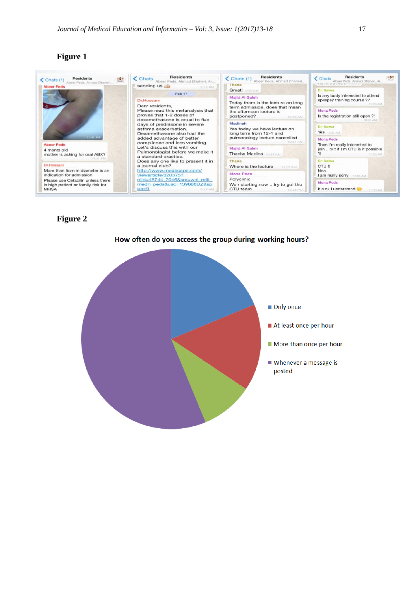## **Figure 1**

| Residents<br>801<br>$\bigcup$ Chats (1)<br>Sheer Peds, Ahmad Dhaheri<br><b>Abeer Peds</b>         | <b>Residents</b><br><b>Chats</b><br>Abeer Peds, Ahmad Dhaheri, Ai<br>sending us                                                                                                                                                                                                                                                                                                                           | <b>Residents</b><br>$\checkmark$ Chats (1)<br>Abeer Peds, Ahmad Dhaheri<br>Thana                                                                                                                                                                                                                                                                        | <b>Residents</b><br>お母子<br><b>Chats</b><br>Abeer Peds, Ahmad Dhaheri, Ai.,                                                                           |
|---------------------------------------------------------------------------------------------------|-----------------------------------------------------------------------------------------------------------------------------------------------------------------------------------------------------------------------------------------------------------------------------------------------------------------------------------------------------------------------------------------------------------|---------------------------------------------------------------------------------------------------------------------------------------------------------------------------------------------------------------------------------------------------------------------------------------------------------------------------------------------------------|------------------------------------------------------------------------------------------------------------------------------------------------------|
| 11:41 PM<br><b>Abeer Peds</b><br>4 monts old<br>mother is asking for oral ABX?<br><b>STORE PM</b> | 3:12 PM<br>Feb 17<br><b>Dr.Hossam</b><br>Dear residents.<br>Please read this metanalysis that<br>proves that 1-2 doses of<br>dexamethasone is equal to five<br>days of prednisone in severe<br>asthma exacerbation.<br>Dexamethasone also had the<br>added advantage of better<br>compliance and less vomiting.<br>Let's discuss this with our<br>Pulmonologist before we make it<br>a standard practice. | Great! DOG AM<br><b>Majid Al Saleh</b><br>Today there is the lecture on long<br>term admission, does that mean<br>the afternoon lecture is<br>postponed?<br>10:13 AM<br>Madinah<br>Yes today we have lecture on<br>long term from 12-1 and<br>pulmonology lecture cancelled<br>10:47:AM<br><b>Majid Al Saleh</b><br>2!<br><b>Thanks Madina</b> 10:47 AM | Dr. Salwa                                                                                                                                            |
|                                                                                                   |                                                                                                                                                                                                                                                                                                                                                                                                           |                                                                                                                                                                                                                                                                                                                                                         | Is any body interested to attend<br>epilepsy training course ??<br>10:29 AM<br><b>Mona Peds</b><br>Is the registration still open ?!                 |
|                                                                                                   |                                                                                                                                                                                                                                                                                                                                                                                                           |                                                                                                                                                                                                                                                                                                                                                         | 10:30 AM<br>Dr. Salwa<br><b>Yes</b> 10:32 AM<br><b>Mona Peds</b><br>Then I'm really interested to<br>join  but if I'm CTU is it possible<br>10:33 AM |
| Dr.Hossam<br>More than 5cm in diameter is an<br>indication for admission                          | Does any one like to present it in<br>a journal club?<br>http://www.medscape.com/<br>viewarticle/820375?                                                                                                                                                                                                                                                                                                  | Thana<br>Where is the lecture<br>12:07 PM<br><b>Mona Peds</b>                                                                                                                                                                                                                                                                                           | Dr. Salwa<br>CTU !!<br><b>Noo</b><br>I am really sorry 10:33 AM                                                                                      |
| Please use Cefazilin unless there<br>is high patient or family risk for<br><b>MRSA</b>            | nlid=48744 2046&src=wnl edit<br>medn_peds&uac=139880DZ&sp<br>$on = 9$<br>B:17 AM                                                                                                                                                                                                                                                                                                                          | Polyclinic<br>We r starting now  try to get the<br>CTU team<br>12:08 PM                                                                                                                                                                                                                                                                                 | Mona Peds<br>It's ok I understand<br>10:35 AM                                                                                                        |

## **Figure 2**